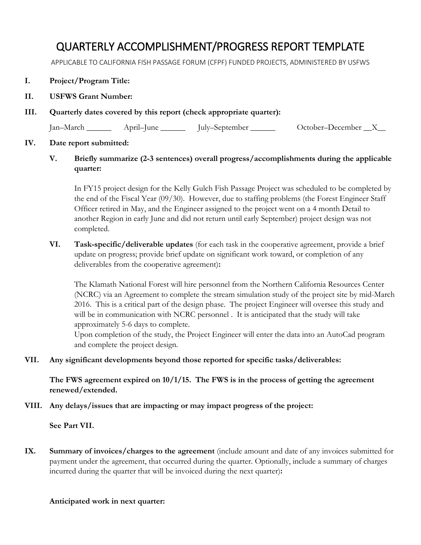## QUARTERLY ACCOMPLISHMENT/PROGRESS REPORT TEMPLATE

APPLICABLE TO CALIFORNIA FISH PASSAGE FORUM (CFPF) FUNDED PROJECTS, ADMINISTERED BY USFWS

- **I. Project/Program Title:**
- **II. USFWS Grant Number:**
- **III. Quarterly dates covered by this report (check appropriate quarter):**

Jan–March \_\_\_\_\_\_ April–June \_\_\_\_\_\_ July–September \_\_\_\_\_\_ October–December \_\_X\_\_

## **IV. Date report submitted:**

**V. Briefly summarize (2-3 sentences) overall progress/accomplishments during the applicable quarter:** 

In FY15 project design for the Kelly Gulch Fish Passage Project was scheduled to be completed by the end of the Fiscal Year (09/30). However, due to staffing problems (the Forest Engineer Staff Officer retired in May, and the Engineer assigned to the project went on a 4 month Detail to another Region in early June and did not return until early September) project design was not completed.

**VI. Task-specific/deliverable updates** (for each task in the cooperative agreement, provide a brief update on progress; provide brief update on significant work toward, or completion of any deliverables from the cooperative agreement)**:**

The Klamath National Forest will hire personnel from the Northern California Resources Center (NCRC) via an Agreement to complete the stream simulation study of the project site by mid-March 2016. This is a critical part of the design phase. The project Engineer will oversee this study and will be in communication with NCRC personnel . It is anticipated that the study will take approximately 5-6 days to complete.

Upon completion of the study, the Project Engineer will enter the data into an AutoCad program and complete the project design.

**VII. Any significant developments beyond those reported for specific tasks/deliverables:**

**The FWS agreement expired on 10/1/15. The FWS is in the process of getting the agreement renewed/extended.** 

**VIII. Any delays/issues that are impacting or may impact progress of the project:**

**See Part VII.**

**IX. Summary of invoices/charges to the agreement** (include amount and date of any invoices submitted for payment under the agreement, that occurred during the quarter. Optionally, include a summary of charges incurred during the quarter that will be invoiced during the next quarter)**:**

## **Anticipated work in next quarter:**